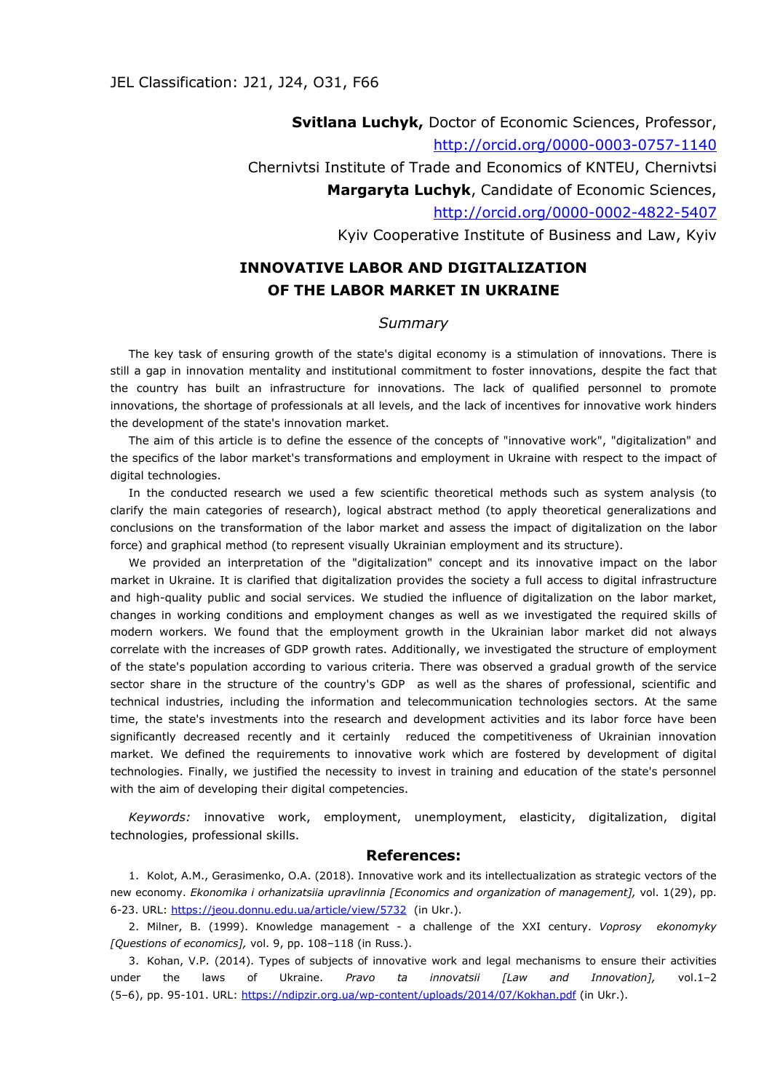**Svitlana Luchyk,** Doctor of Economic Sciences, Professor, <http://orcid.org/0000-0003-0757-1140> Chernivtsi Institute of Trade and Economics of KNTEU, Chernivtsi **Margaryta Luchyk**, Candidate of Economic Sciences, <http://orcid.org/0000-0002-4822-5407> Kyiv Cooperative Institute of Business and Law, Kyiv

## **INNOVATIVE LABOR AND DIGITALIZATION OF THE LABOR MARKET IN UKRAINE**

## *Summary*

The key task of ensuring growth of the state's digital economy is a stimulation of innovations. There is still a gap in innovation mentality and institutional commitment to foster innovations, despite the fact that the country has built an infrastructure for innovations. The lack of qualified personnel to promote innovations, the shortage of professionals at all levels, and the lack of incentives for innovative work hinders the development of the state's innovation market.

The aim of this article is to define the essence of the concepts of "innovative work", "digitalization" and the specifics of the labor market's transformations and employment in Ukraine with respect to the impact of digital technologies.

In the conducted research we used a few scientific theoretical methods such as system analysis (to clarify the main categories of research), logical abstract method (to apply theoretical generalizations and conclusions on the transformation of the labor market and assess the impact of digitalization on the labor force) and graphical method (to represent visually Ukrainian employment and its structure).

We provided an interpretation of the "digitalization" concept and its innovative impact on the labor market in Ukraine. It is clarified that digitalization provides the society a full access to digital infrastructure and high-quality public and social services. We studied the influence of digitalization on the labor market, changes in working conditions and employment changes as well as we investigated the required skills of modern workers. We found that the employment growth in the Ukrainian labor market did not always correlate with the increases of GDP growth rates. Additionally, we investigated the structure of employment of the state's population according to various criteria. There was observed a gradual growth of the service sector share in the structure of the country's GDP as well as the shares of professional, scientific and technical industries, including the information and telecommunication technologies sectors. At the same time, the state's investments into the research and development activities and its labor force have been significantly decreased recently and it certainly reduced the competitiveness of Ukrainian innovation market. We defined the requirements to innovative work which are fostered by development of digital technologies. Finally, we justified the necessity to invest in training and education of the state's personnel with the aim of developing their digital competencies.

*Keywords:* innovative work, employment, unemployment, elasticity, digitalization, digital technologies, professional skills.

## **References:**

1. Kolot, A.M., Gerasimenko, O.A. (2018). Innovative work and its intellectualization as strategic vectors of the new economy. *Ekonomika i orhanizatsiia upravlinnia [Economics and organization of management],* vol. 1(29), pp. 6-23. URL: <https://jeou.donnu.edu.ua/article/view/5732>(in Ukr.).

2. Milner, B. (1999). Knowledge management - a challenge of the XXI century. *Voprosy ekonomyky [Questions of economics],* vol. 9, pp. 108–118 (in Russ.).

3. Kohan, V.P. (2014). Types of subjects of innovative work and legal mechanisms to ensure their activities under the laws of Ukraine. *Pravo ta innovatsii [Law and Innovation],* vol.1–2 (5–6), pp. 95-101. URL: <https://ndipzir.org.ua/wp-content/uploads/2014/07/Kokhan.pdf> (in Ukr.).